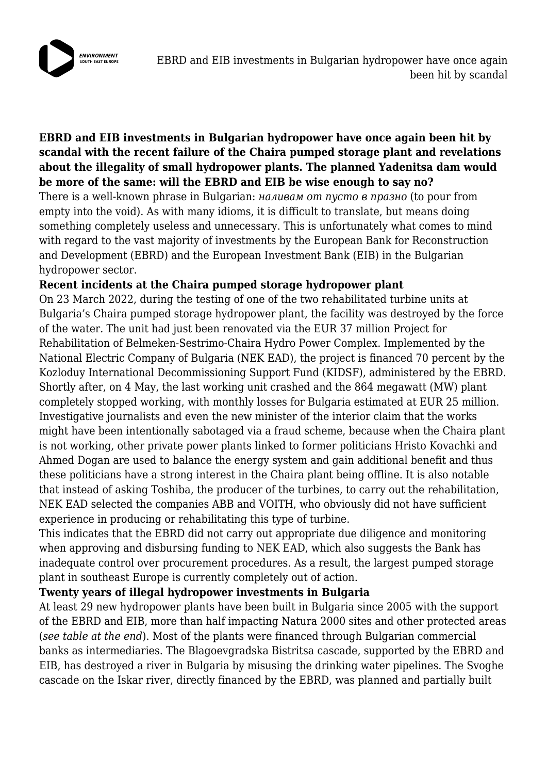

## **EBRD and EIB investments in Bulgarian hydropower have once again been hit by scandal with the recent failure of the Chaira pumped storage plant and revelations about the illegality of small hydropower plants. The planned Yadenitsa dam would be more of the same: will the EBRD and EIB be wise enough to say no?**

There is a well-known phrase in Bulgarian: *наливам от пусто в празно* (to pour from empty into the void). As with many idioms, it is difficult to translate, but means doing something completely useless and unnecessary. This is unfortunately what comes to mind with regard to the vast majority of investments by the European Bank for Reconstruction and Development (EBRD) and the European Investment Bank (EIB) in the Bulgarian hydropower sector.

## **Recent incidents at the Chaira pumped storage hydropower plant**

On 23 March 2022, during the testing of one of the two rehabilitated turbine units at Bulgaria's Chaira pumped storage hydropower plant, the facility was destroyed by the force of the water. The unit had just been renovated via the EUR 37 million Project for Rehabilitation of Belmeken-Sestrimo-Chaira Hydro Power Complex. Implemented by the National Electric Company of Bulgaria (NEK EAD), the project is financed 70 percent by the Kozloduy International Decommissioning Support Fund (KIDSF), administered by the EBRD. Shortly after, on 4 May, the last working unit crashed and the 864 megawatt (MW) plant completely stopped working, with monthly losses for Bulgaria estimated at EUR 25 million. Investigative journalists and even the new minister of the interior claim that the works might have been intentionally sabotaged via a fraud scheme, because when the Chaira plant is not working, other private power plants linked to former politicians Hristo Kovachki and Ahmed Dogan are used to balance the energy system and gain additional benefit and thus these politicians have a strong interest in the Chaira plant being offline. It is also notable that instead of asking Toshiba, the producer of the turbines, to carry out the rehabilitation, NEK EAD selected the companies ABB and VOITH, who obviously did not have sufficient experience in producing or rehabilitating this type of turbine.

This indicates that the EBRD did not carry out appropriate due diligence and monitoring when approving and disbursing funding to NEK EAD, which also suggests the Bank has inadequate control over procurement procedures. As a result, the largest pumped storage plant in southeast Europe is currently completely out of action.

## **Twenty years of illegal hydropower investments in Bulgaria**

At least 29 new hydropower plants have been built in Bulgaria since 2005 with the support of the EBRD and EIB, more than half impacting Natura 2000 sites and other protected areas (*see table at the end*). Most of the plants were financed through Bulgarian commercial banks as intermediaries. The Blagoevgradska Bistritsa cascade, supported by the EBRD and EIB, has destroyed a river in Bulgaria by misusing the drinking water pipelines. The Svoghe cascade on the Iskar river, directly financed by the EBRD, was planned and partially built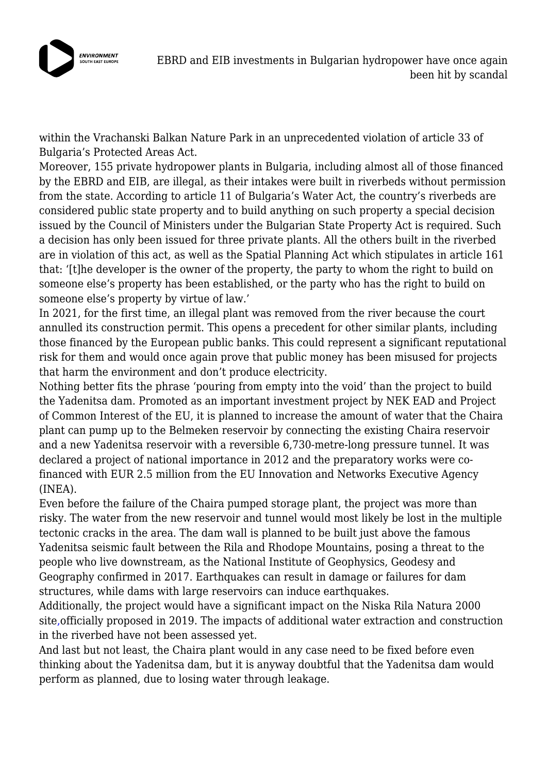

within the Vrachanski Balkan Nature Park in an unprecedented violation of article 33 of Bulgaria's Protected Areas Act.

Moreover, 155 private hydropower plants in Bulgaria, including almost all of those financed by the EBRD and EIB, are illegal, as their intakes were built in riverbeds without permission from the state. According to article 11 of Bulgaria's Water Act, the country's riverbeds are considered public state property and to build anything on such property a special decision issued by the Council of Ministers under the Bulgarian State Property Act is required. Such a decision has only been issued for three private plants. All the others built in the riverbed are in violation of this act, as well as the Spatial Planning Act which stipulates in article 161 that: '[t]he developer is the owner of the property, the party to whom the right to build on someone else's property has been established, or the party who has the right to build on someone else's property by virtue of law.'

In 2021, for the first time, an illegal plant was removed from the river because the court annulled its construction permit. This opens a precedent for other similar plants, including those financed by the European public banks. This could represent a significant reputational risk for them and would once again prove that public money has been misused for projects that harm the environment and don't produce electricity.

Nothing better fits the phrase 'pouring from empty into the void' than the project to build the Yadenitsa dam. Promoted as an important investment project by NEK EAD and Project of Common Interest of the EU, it is planned to increase the amount of water that the Chaira plant can pump up to the Belmeken reservoir by connecting the existing Chaira reservoir and a new Yadenitsa reservoir with a reversible 6,730-metre-long pressure tunnel. It was declared a project of national importance in 2012 and the preparatory works were cofinanced with EUR 2.5 million from the EU Innovation and Networks Executive Agency (INEA).

Even before the failure of the Chaira pumped storage plant, the project was more than risky. The water from the new reservoir and tunnel would most likely be lost in the multiple tectonic cracks in the area. The dam wall is planned to be built just above the famous Yadenitsa seismic fault between the Rila and Rhodope Mountains, posing a threat to the people who live downstream, as the National Institute of Geophysics, Geodesy and Geography confirmed in 2017. Earthquakes can result in damage or failures for dam structures, while dams with large reservoirs can induce earthquakes.

Additionally, the project would have a significant impact on the Niska Rila Natura 2000 sit[e,o](https://natura2000.eea.europa.eu/Natura2000/SDF.aspx?site=BG0000636)fficially proposed in 2019. The impacts of additional water extraction and construction in the riverbed have not been assessed yet.

And last but not least, the Chaira plant would in any case need to be fixed before even thinking about the Yadenitsa dam, but it is anyway doubtful that the Yadenitsa dam would perform as planned, due to losing water through leakage.